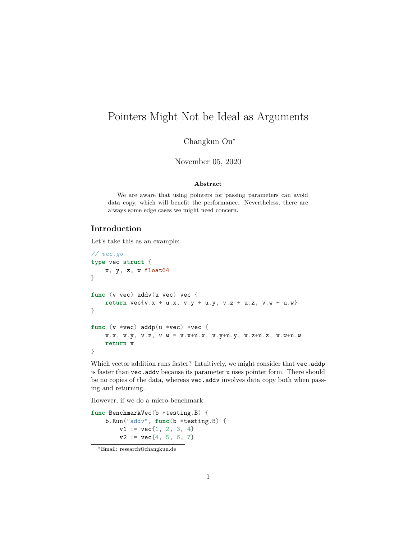# Pointers Might Not be Ideal as Arguments

Changkun Ou<sup>∗</sup>

November 05, 2020

#### **Abstract**

We are aware that using pointers for passing parameters can avoid data copy, which will benefit the performance. Nevertheless, there are always some edge cases we might need concern.

### **Introduction**

Let's take this as an example:

```
// vec.go
type vec struct {
   x, y, z, w float64
}
func (v vec) addv(u vec) vec {
   return vec{v}.x + u.x, v.y + u.y, v.z + u.z, v.w + u.w}
}
func (v *vec) addp(u *vec) *vec {
   v.x, v.y, v.z, v.w = v.x+u.x, v.y+u.y, v.z+u.z, v.w+u.w
   return v
}
```
Which vector addition runs faster? Intuitively, we might consider that vec.addp is faster than vec.addv because its parameter u uses pointer form. There should be no copies of the data, whereas vec.addv involves data copy both when passing and returning.

However, if we do a micro-benchmark:

```
func BenchmarkVec(b *testing.B) {
    b.Run("addv", func(b *testing.B) {
        v1 := vec{1, 2, 3, 4}v2 := vec{4, 5, 6, 7}
```
<sup>∗</sup>Email: research@changkun.de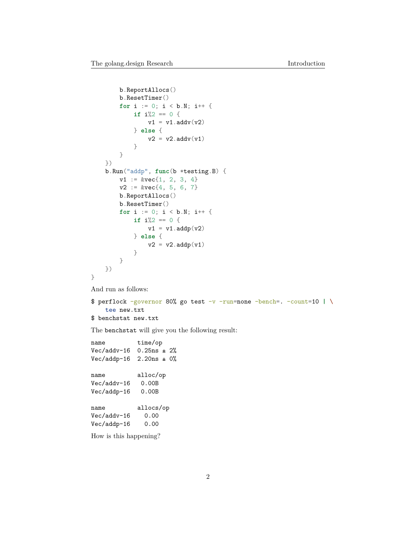```
b.ReportAllocs()
        b.ResetTimer()
        for i := 0; i < b.N; i++ {
            if i%2 == 0 {
                v1 = v1.addv(v2)} else {
                v2 = v2.addv(v1)}
        }
    })
    b.Run("addp", func(b *testing.B) {
        v1 := kvec{1}, 2, 3, 4v2 := kvec{4}, 5, 6, 7b.ReportAllocs()
        b.ResetTimer()
        for i := 0; i < b.N; i++ {
            if i\frac{1}{2} = 0 {
                v1 = v1.addp(v2)} else {
                v2 = v2.addp(v1)}
        }
    })
}
And run as follows:
```

```
$ perflock -governor 80% go test -v -run=none -bench=. -count=10 | \
    tee new.txt
$ benchstat new.txt
```
The benchstat will give you the following result:

name time/op Vec/addv-16 0.25ns ± 2% Vec/addp-16 2.20ns ± 0% name alloc/op Vec/addv-16 0.00B Vec/addp-16 0.00B name allocs/op Vec/addv-16 0.00 Vec/addp-16 0.00 How is this happening?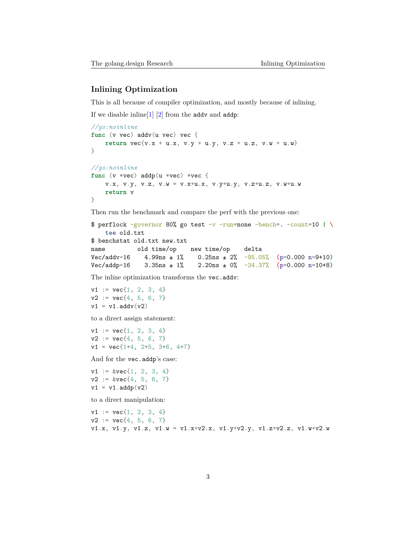#### **Inlining Optimization**

This is all because of compiler optimization, and mostly because of inlining.

If we disable inline[\[1](#page-8-0)] [\[2](#page-9-0)] from the addv and addp:

```
//go:noinline
func (v vec) addv(u vec) vec {
    return vec{v}.x + u.x, v. y + u. y, v. z + u. z, v. w + u. w}
}
//go:noinline
func (v *vec) addp(u *vec) *vec {
    v.x, v.y, v.z, v.w = v.x+u.x, v.y+u.y, v.z+u.z, v.w+u.w
    return v
}
```
Then run the benchmark and compare the perf with the previous one:

```
$ perflock -governor 80% go test -v -run=none -bench=. -count=10 | \
   tee old.txt
$ benchstat old.txt new.txt
name old time/op new time/op delta
Vec/addv-16 4.99ns ± 1% 0.25ns ± 2% -95.05% (p=0.000 n=9+10)
Vec/addp-16 3.35ns ± 1% 2.20ns ± 0% -34.37% (p=0.000 n=10+8)
```
The inline optimization transforms the vec.addv:

 $v1 := vec{1, 2, 3, 4}$  $v2 := vec{4, 5, 6, 7}$  $v1 = v1.addv(v2)$ 

to a direct assign statement:

 $v1 := vec{1, 2, 3, 4}$  $v2 := vec{4, 5, 6, 7}$  $v1 = vec{1+4, 2+5, 3+6, 4+7}$ 

And for the vec.addp's case:

 $v1 := kvec{1}, 2, 3, 4$  $v2 := kvec{4, 5, 6, 7}$  $v1 = v1.addp(v2)$ 

to a direct manipulation:

 $v1 := vec{1, 2, 3, 4}$  $v2 := vec{4, 5, 6, 7}$ v1.x, v1.y, v1.z, v1.w = v1.x+v2.x, v1.y+v2.y, v1.z+v2.z, v1.w+v2.w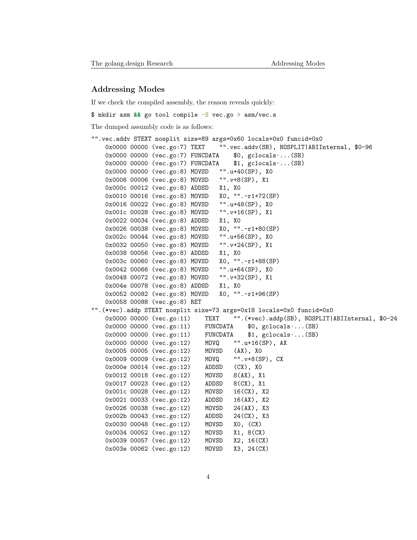#### **Addressing Modes**

If we check the compiled assembly, the reason reveals quickly:

\$ mkdir asm **&&** go tool compile -S vec.go > asm/vec.s

The dumped assumbly code is as follows:

```
"".vec.addv STEXT nosplit size=89 args=0x60 locals=0x0 funcid=0x0
   0x0000 00000 (vec.go:7) TEXT "".vec.addv(SB), NOSPLIT|ABIInternal, $0-96
   0x0000 00000 0x (vec.go:7) FUNCDATA $0, gclocals\cdots (SB)
   0x0000 00000 (vec.go:7) FUNCDATA $1, gclocals\cdots (SB)
   0x0000 00000 (vec.go:8) MOVSD "".u+40(SP), X0
   0x0006 00006 (vec.go:8) MOVSD "".v+8(SP), X1
   0x000c 00012 (vec.go:8) ADDSD X1, X0
   0x0010 00016 (vec.go:8) MOVSD X0, "".~r1+72(SP)
   0x0016 00022 (vec.go:8) MOVSD "".u+48(SP), X0
   0x001c 00028 (vec.go:8) MOVSD "".v+16(SP), X1
   0x0022 00034 (vec.go:8) ADDSD X1, X0
   0x0026 00038 (vec.go:8) MOVSD X0, "".~r1+80(SP)
   0x002c 00044 (vec.go:8) MOVSD "".u+56(SP), X0
   0x0032 00050 (vec.go:8) MOVSD "".v+24(SP), X1
   0x0038 00056 (vec.go:8) ADDSD X1, X0
   0x003c 00060 (vec.go:8) MOVSD X0, "".~r1+88(SP)
   0x0042 00066 (vec.go:8) MOVSD "".u+64(SP), X0
   0x0048 00072 (vec.go:8) MOVSD "".v+32(SP), X1
   0x004e 00078 (vec.go:8) ADDSD X1, X0
   0x0052 00082 (vec.go:8) MOVSD X0, "".~r1+96(SP)
   0x0058 00088 (vec.go:8) RET
"".(*vec).addp STEXT nosplit size=73 args=0x18 locals=0x0 funcid=0x0
   0x0000 00000 (vec.go:11) TEXT "".(*vec).addp(SB), NOSPLIT|ABIInternal, $0-24
   0x0000 00000 (vec.go:11) FUNCDATA $0, gclocals·...(SB)
   0x0000 00000 (vec.go:11) FUNCDATA $1, gclocals·...(SB)
   0x0000 00000 (vec.go:12) MOVQ "".u+16(SP), AX
   0x0005 00005 (vec.go:12) MOVSD (AX), X0
   0x0009 00009 (vec.go:12) MOVQ "".v+8(SP), CX
   0x000e 00014 (vec.go:12) ADDSD (CX), X0
   0x0012 00018 (vec.go:12) MOVSD 8(AX), X1
   0x0017 00023 (vec.go:12) ADDSD 8(CX), X1
   0x001c 00028 (vec.go:12) MOVSD 16(CX), X2
   0x0021 00033 (vec.go:12) ADDSD 16(AX), X2
   0x0026 00038 (vec.go:12) MOVSD 24(AX), X3
   0x002b 00043 (vec.go:12) ADDSD 24(CX), X3
   0x0030 00048 (vec.go:12) MOVSD X0, (CX)
   0x0034 00052 (vec.go:12) MOVSD X1, 8(CX)
   0x0039 00057 (vec.go:12) MOVSD X2, 16(CX)
   0x003e 00062 (vec.go:12) MOVSD X3, 24(CX)
```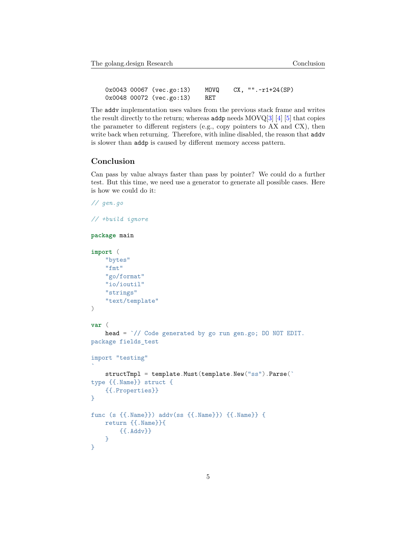0x0043 00067 (vec.go:13) MOVQ CX, "".~r1+24(SP) 0x0048 00072 (vec.go:13) RET

The addv implementation uses values from the previous stack frame and writes the result directly to the return; whereas addp needs  $MOVQ[3] [4] [5]$  $MOVQ[3] [4] [5]$  $MOVQ[3] [4] [5]$  $MOVQ[3] [4] [5]$  $MOVQ[3] [4] [5]$  $MOVQ[3] [4] [5]$  $MOVQ[3] [4] [5]$  that copies the parameter to different registers (e.g., copy pointers to AX and CX), then write back when returning. Therefore, with inline disabled, the reason that addv is slower than addp is caused by different memory access pattern.

#### **Conclusion**

Can pass by value always faster than pass by pointer? We could do a further test. But this time, we need use a generator to generate all possible cases. Here is how we could do it:

```
// gen.go
// +build ignore
package main
import (
    "bytes"
    "fmt"
    "go/format"
    "io/ioutil"
    "strings"
    "text/template"
)
var (
    head = `// Code generated by go run gen.go; DO NOT EDIT.
package fields_test
import "testing"
`
    structTmpl = template.Must(template.New("ss").Parse(`
type {{.Name}} struct {
    {{.Properties}}
}
func (s {{.Name}}) addv(ss {{.Name}}) {{.Name}} {
    return {{.Name}}{
        {{.Addv}}
    }
}
```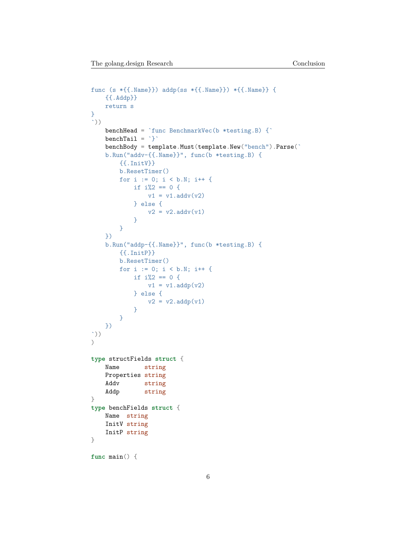```
func (s *{{.Name}}) addp(ss *{{.Name}}) *{{.Name}} {
    {{.Addp}}
    return s
}
\cdot))
    benchHead = \text{`func} BenchmarkVec(b *testing.B) {\text{`}\text{benchTail} = \text{``}benchBody = template.Must(template.New("bench").Parse(`
    b.Run("addv-{{.Name}}", func(b *testing.B) {
        {{.InitV}}
        b.ResetTimer()
        for i := 0; i < b.N; i++if i\frac{1}{2} = 0 {
                v1 = v1.addv(v2)} else {
                v2 = v2.addv(v1)}
        }
    })
    b.Run("addp-{{.Name}}", func(b *testing.B) {
        {{.InitP}}
        b.ResetTimer()
        for i := 0; i < b.N; i++ {
            if i\frac{0}{2} = 0 {
                v1 = v1.addp(v2)} else {
                v2 = v2.addp(v1)}
        }
    })
`))
\left( \right)type structFields struct {
    Name string
    Properties string
    Addv string
    Addp string
}
type benchFields struct {
    Name string
    InitV string
    InitP string
}
func main() {
```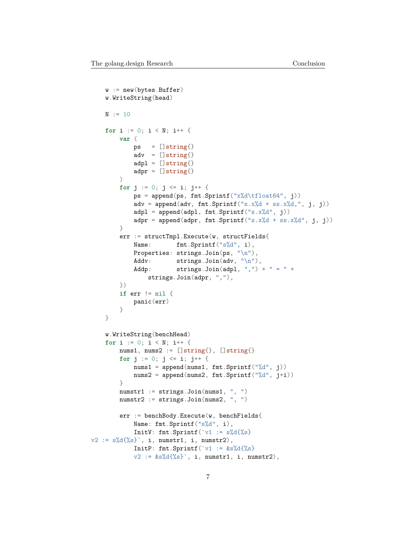```
w := new(bytes.Buffer)
    w.WriteString(head)
    N := 10for i := 0; i < N; i++ {
        var (
            ps = []string{}adv = []string{}adpl = []string{}adpr = []string{}\lambdafor j := 0; j <= i; j++ {
            ps = append(ps, frt.Sprint(f''x%d\tfloat64", i))adv = append(adv, frnt.Sprint(f("s.x%d + ss.x%d, ", j, j)))adpl = append(adpl, frt.Sprint(f("s.x%d", j))adpr = append(adpr, frnt.Sprintf("s.x%d + ss.x%d", j, j))}
        err := structTmpl.Execute(w, structFields{
            Name: fmt.Sprintf("s%d", i),
            Properties: strings.Join(ps, "\n"),
            Addv: strings.Join(adv, "\n\n\sqrt{n}"),
            Addp: strings.Join(adpl, ",") + " = " +
                strings.Join(adpr, ","),
        })
        if err != nil {
            panic(err)
        }
    }
    w.WriteString(benchHead)
    for i := 0; i < N; i++ {
        nums1, nums2 := []string{}, []string{}for j := 0; j <= i; j++ {
            nums1 = append(nums1, fmt.Sprintf("%d", j))
            nums2 = append(nums2, fmt.Sprintf("%d", j+i))
        }
        numstr1 := strings.Join(nums1, ", ")
        numstr2 := strings.Join(nums2, ", ")
        err := benchBody.Execute(w, benchFields{
            Name: fmt.Sprintf("s%d", i),
            InitV: fmt.Sprintf(\forall 1 := s\%d\{\%s\}v2 := s\%d\{\%s\}, i, numstr1, i, numstr2),
            InitP: fmt.Sprintf(\check{v}1 := &s%d{%s}
            v2 := \&s\%d\{\%s\}, i, numstr1, i, numstr2),
```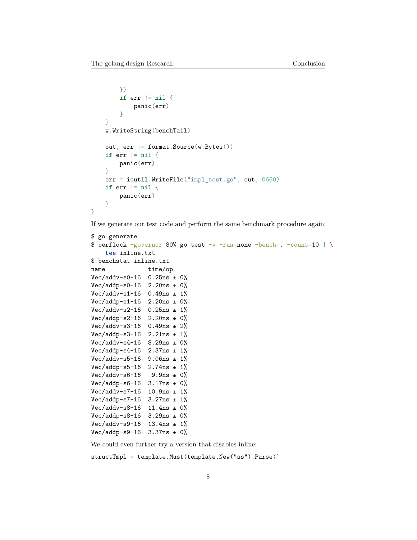}

```
})
    if err != nil {
        panic(err)
    }
}
w.WriteString(benchTail)
out, err := format.Source(w.Bytes())
if err != nil {
    panic(err)
}
err = ioutil.WriteFile("impl_test.go", out, 0660)
if err != nil {
    panic(err)
}
```
If we generate our test code and perform the same benchmark procedure again:

```
$ go generate
$ perflock -governor 80% go test -v -run=none -bench=. -count=10 | \
    tee inline.txt
$ benchstat inline.txt
name time/op
Vec/addv-s0-16 0.25ns \pm 0%
Vec/addp-s0-16 2.20ns \pm 0%
Vec/addv-s1-16 0.49ns \pm 1%
Vec/addp-s1-16 2.20ns ± 0%
Vec/addv-s2-16 0.25ns \pm 1%
Vec/addp-s2-16 2.20ns ± 0%
Vec/addv-s3-16 0.49ns ± 2%
Vec/addp-s3-16 2.21ns \pm 1%
Vec/addv-s4-16 8.29ns ± 0%
Vec/addp-s4-16 2.37ns \pm 1%
Vec/addv-s5-16 9.06ns ± 1%
Vec/addp-s5-16 2.74ns ± 1%
Vec/addv-s6-16 9.9ns \pm 0%
Vec/addp-s6-16 3.17ns \pm 0%
Vec/addv-s7-16 10.9ns \pm 1%
Vec/addp-s7-16 3.27ns \pm 1%
Vec/addv-s8-16 11.4ns ± 0%
Vec/addp-s8-16 3.29ns ± 0%
Vec/addv-s9-16 13.4ns \pm 1%
Vec/addp-s9-16 3.37ns ± 0%
```
We could even further try a version that disables inline:

structTmpl = template.Must(template.New("ss").Parse(`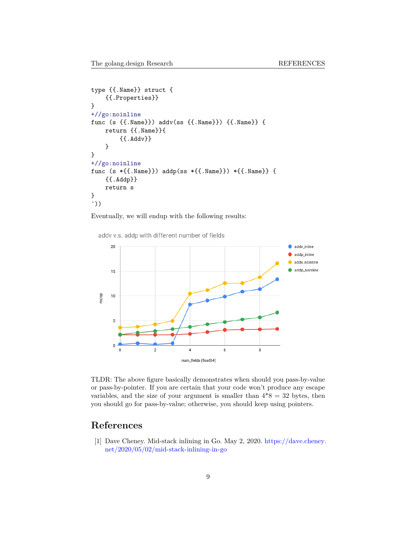```
type {{.Name}} struct {
    {{.Properties}}
}
+//go:noinline
func (s {{.Name}}) addv(ss {{.Name}}) {{.Name}} {
    return {{.Name}}{
        {{.Addv}}
    }
}
+//go:noinline
func (s *{{.Name}}) addp(ss *{{.Name}}) *{{.Name}} {
    {{.Addp}}
    return s
}
`))
```
Eventually, we will endup with the following results:

addv v.s. addp with different number of fields



TLDR: The above figure basically demonstrates when should you pass-by-value or pass-by-pointer. If you are certain that your code won't produce any escape variables, and the size of your argument is smaller than  $4*8 = 32$  bytes, then you should go for pass-by-value; otherwise, you should keep using pointers.

## **References**

<span id="page-8-0"></span>[1] Dave Cheney. Mid-stack inlining in Go. May 2, 2020. [https://dave.cheney.](https://dave.cheney.net/2020/05/02/mid-stack-inlining-in-go) [net/2020/05/02/mid-stack-inlining-in-go](https://dave.cheney.net/2020/05/02/mid-stack-inlining-in-go)